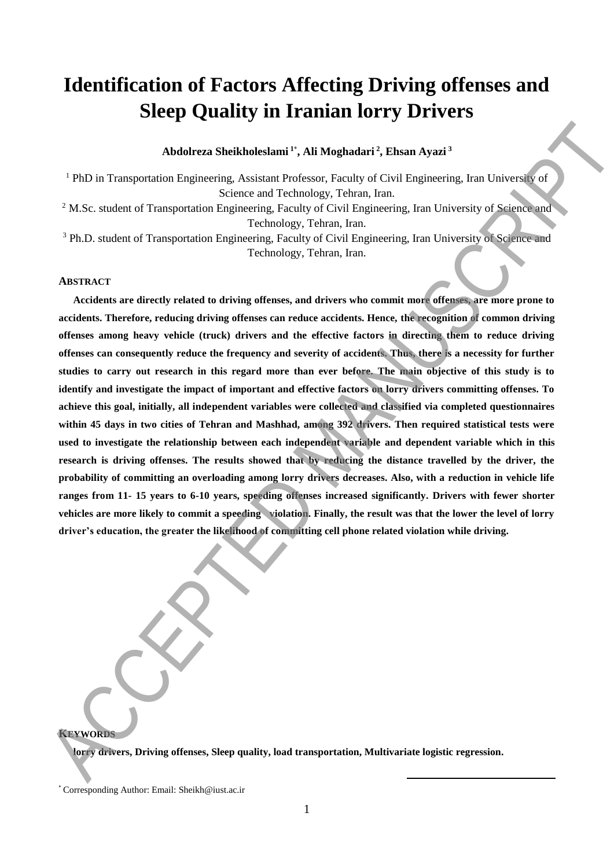# **Identification of Factors Affecting Driving offenses and Sleep Quality in Iranian lorry Drivers**

**Abdolreza Sheikholeslami <sup>1</sup>**\* **, Ali Moghadari <sup>2</sup> , Ehsan Ayazi <sup>3</sup>**

<sup>1</sup> PhD in Transportation Engineering, Assistant Professor, Faculty of Civil Engineering, Iran University of Science and Technology, Tehran, Iran. <sup>2</sup> M.Sc. student of Transportation Engineering, Faculty of Civil Engineering, Iran University of Science and

Technology, Tehran, Iran.

<sup>3</sup> Ph.D. student of Transportation Engineering, Faculty of Civil Engineering, Iran University of Science and Technology, Tehran, Iran.

# **ABSTRACT**

**Accidents are directly related to driving offenses, and drivers who commit more offenses, are more prone to accidents. Therefore, reducing driving offenses can reduce accidents. Hence, the recognition of common driving offenses among heavy vehicle (truck) drivers and the effective factors in directing them to reduce driving offenses can consequently reduce the frequency and severity of accidents. Thus, there is a necessity for further studies to carry out research in this regard more than ever before. The main objective of this study is to identify and investigate the impact of important and effective factors on lorry drivers committing offenses. To achieve this goal, initially, all independent variables were collected and classified via completed questionnaires within 45 days in two cities of Tehran and Mashhad, among 392 drivers. Then required statistical tests were used to investigate the relationship between each independent variable and dependent variable which in this research is driving offenses. The results showed that by reducing the distance travelled by the driver, the probability of committing an overloading among lorry drivers decreases. Also, with a reduction in vehicle life ranges from 11- 15 years to 6-10 years, speeding offenses increased significantly. Drivers with fewer shorter vehicles are more likely to commit a speeding violation. Finally, the result was that the lower the level of lorry driver's education, the greater the likelihood of committing cell phone related violation while driving.** Abdultera Sheikhololelamal ". Ali Moghadari" (Elizabetika Animal ". Elizabetika Animal ". (PhD) is Transportation Exploresing, Assistant Professor, Ecculty of Civil Engineering, Iran University of AN-Sc. statistical CE (F

**KEYWORDS**

**lorry drivers, Driving offenses, Sleep quality, load transportation, Multivariate logistic regression.** 

**.** 

<sup>\*</sup> Corresponding Author: Email: [Sheikh@iust.ac.ir](mailto:Sheikh@iust.ac.ir)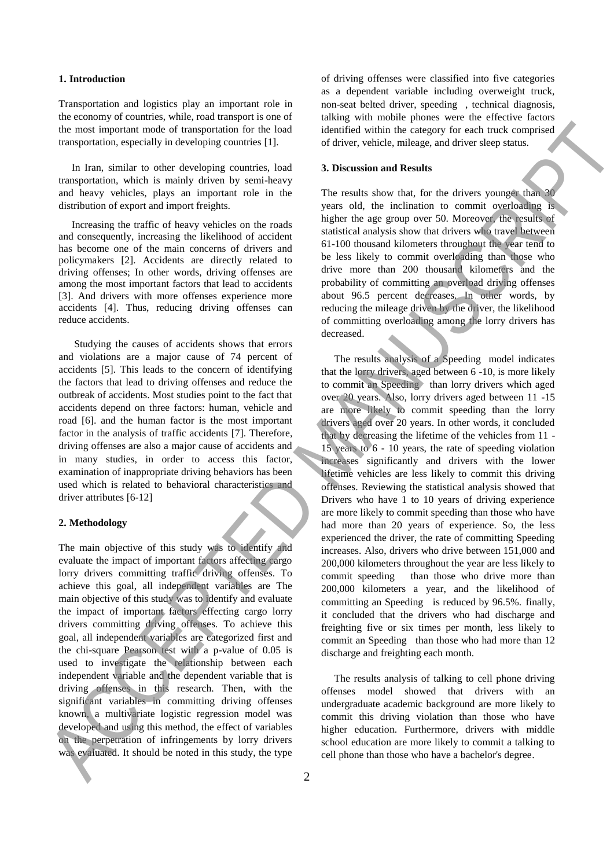#### **1. Introduction**

Transportation and logistics play an important role in the economy of countries, while, road transport is one of the most important mode of transportation for the load transportation, especially in developing countries [1].

 In Iran, similar to other developing countries, load transportation, which is mainly driven by semi-heavy and heavy vehicles, plays an important role in the distribution of export and import freights.

 Increasing the traffic of heavy vehicles on the roads and consequently, increasing the likelihood of accident has become one of the main concerns of drivers and policymakers [2]. Accidents are directly related to driving offenses; In other words, driving offenses are among the most important factors that lead to accidents [3]. And drivers with more offenses experience more accidents [4]. Thus, reducing driving offenses can reduce accidents.

 Studying the causes of accidents shows that errors and violations are a major cause of 74 percent of accidents [5]. This leads to the concern of identifying the factors that lead to driving offenses and reduce the outbreak of accidents. Most studies point to the fact that accidents depend on three factors: human, vehicle and road [6]. and the human factor is the most important factor in the analysis of traffic accidents [7]. Therefore, driving offenses are also a major cause of accidents and in many studies, in order to access this factor, examination of inappropriate driving behaviors has been used which is related to behavioral characteristics and driver attributes [6-12]

#### **2. Methodology**

The main objective of this study was to identify and evaluate the impact of important factors affecting cargo lorry drivers committing traffic driving offenses. To achieve this goal, all independent variables are The main objective of this study was to identify and evaluate the impact of important factors effecting cargo lorry drivers committing driving offenses. To achieve this goal, all independent variables are categorized first and the chi-square Pearson test with a p-value of 0.05 is used to investigate the relationship between each independent variable and the dependent variable that is driving offenses in this research. Then, with the significant variables in committing driving offenses known, a multivariate logistic regression model was developed and using this method, the effect of variables on the perpetration of infringements by lorry drivers was evaluated. It should be noted in this study, the type

of driving offenses were classified into five categories as a dependent variable including overweight truck, non-seat belted driver, speeding , technical diagnosis, talking with mobile phones were the effective factors identified within the category for each truck comprised of driver, vehicle, mileage, and driver sleep status.

### **3. Discussion and Results**

The results show that, for the drivers younger than 30 years old, the inclination to commit overloading is higher the age group over 50. Moreover, the results of statistical analysis show that drivers who travel between 61-100 thousand kilometers throughout the year tend to be less likely to commit overloading than those who drive more than 200 thousand kilometers and the probability of committing an overload driving offenses about 96.5 percent decreases. In other words, by reducing the mileage driven by the driver, the likelihood of committing overloading among the lorry drivers has decreased.

 The results analysis of a Speeding model indicates that the lorry drivers, aged between 6 -10, is more likely to commit an Speeding than lorry drivers which aged over 20 years. Also, lorry drivers aged between 11 -15 are more likely to commit speeding than the lorry drivers aged over 20 years. In other words, it concluded that by decreasing the lifetime of the vehicles from 11 - 15 years to 6 - 10 years, the rate of speeding violation increases significantly and drivers with the lower lifetime vehicles are less likely to commit this driving offenses. Reviewing the statistical analysis showed that Drivers who have 1 to 10 years of driving experience are more likely to commit speeding than those who have had more than 20 years of experience. So, the less experienced the driver, the rate of committing Speeding increases. Also, drivers who drive between 151,000 and 200,000 kilometers throughout the year are less likely to commit speeding than those who drive more than 200,000 kilometers a year, and the likelihood of committing an Speeding is reduced by 96.5%. finally, it concluded that the drivers who had discharge and freighting five or six times per month, less likely to commit an Speeding than those who had more than 12 discharge and freighting each month. die universite model in the back of the controlline back of the controlline in the controlline of the controlline in the controlline of the controlline in the controlline of the controlline in the back of the controlline

 The results analysis of talking to cell phone driving offenses model showed that drivers with an undergraduate academic background are more likely to commit this driving violation than those who have higher education. Furthermore, drivers with middle school education are more likely to commit a talking to